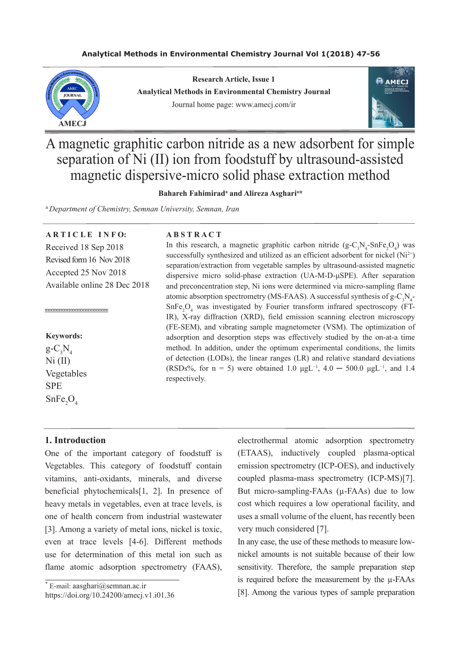# **Analytical Methods in Environmental Chemistry Journal Vol 1(2018) 47-56**



**Research Article, Issue 1 Analytical Methods in Environmental Chemistry Journal** Journal home page: www.amecj.com/ir



A magnetic graphitic carbon nitride as a new adsorbent for simple separation of Ni (II) ion from foodstuff by ultrasound-assisted magnetic dispersive-micro solid phase extraction method

Bahareh Fahimirad<sup>a</sup> and Alireza Asghari<sup>a\*</sup>

<sup>a</sup>*Department of Chemistry, Semnan University, Semnan, Iran*

**A R T I C L E I N F O:** Received 18 Sep 2018 Revised form 16 Nov 2018 Accepted 25 Nov 2018 Available online 28 Dec 2018

**Keywords:**

------------------------

 $g - C_3 N_4$  $Ni (II)$ Vegetables **SPE**  $SnFe<sub>2</sub>O<sub>4</sub>$ 

## **1. Introduction**

One of the important category of foodstuff is Vegetables. This category of foodstuff contain vitamins, anti-oxidants, minerals, and diverse beneficial phytochemicals[1, 2]. In presence of heavy metals in vegetables, even at trace levels, is one of health concern from industrial wastewater [3]. Among a variety of metal ions, nickel is toxic, even at trace levels [4-6]. Different methods use for determination of this metal ion such as flame atomic adsorption spectrometry (FAAS),

https://doi.org/10.24200/amecj.v1.i01.36

#### **A B S T R A C T**

In this research, a magnetic graphitic carbon nitride  $(g-C_3N_4-SnFe_2O_4)$  was successfully synthesized and utilized as an efficient adsorbent for nickel  $(Ni^{2+})$ separation/extraction from vegetable samples by ultrasound-assisted magnetic dispersive micro solid-phase extraction (UA-M-D-μSPE). After separation and preconcentration step, Ni ions were determined via micro-sampling flame atomic absorption spectrometry (MS-FAAS). A successful synthesis of  $g - C_3 N_4$ .  $SnFe<sub>2</sub>O<sub>4</sub>$  was investigated by Fourier transform infrared spectroscopy (FT-IR), X-ray diffraction (XRD), field emission scanning electron microscopy (FE-SEM), and vibrating sample magnetometer (VSM). The optimization of adsorption and desorption steps was effectively studied by the on-at-a time method. In addition, under the optimum experimental conditions, the limits of detection (LODs), the linear ranges (LR) and relative standard deviations (RSDs%, for n = 5) were obtained 1.0  $\mu$ gL<sup>-1</sup>, 4.0 − 500.0  $\mu$ gL<sup>-1</sup>, and 1.4 respectively.

> electrothermal atomic adsorption spectrometry (ETAAS), inductively coupled plasma-optical emission spectrometry (ICP-OES), and inductively coupled plasma-mass spectrometry (ICP-MS)[7]. But micro-sampling-FAAs (µ-FAAs) due to low cost which requires a low operational facility, and uses a small volume of the eluent, has recently been very much considered [7].

> In any case, the use of these methods to measure lownickel amounts is not suitable because of their low sensitivity. Therefore, the sample preparation step is required before the measurement by the µ-FAAs [8]. Among the various types of sample preparation

<sup>\*</sup> E-mail: aasghari@semnan.ac.ir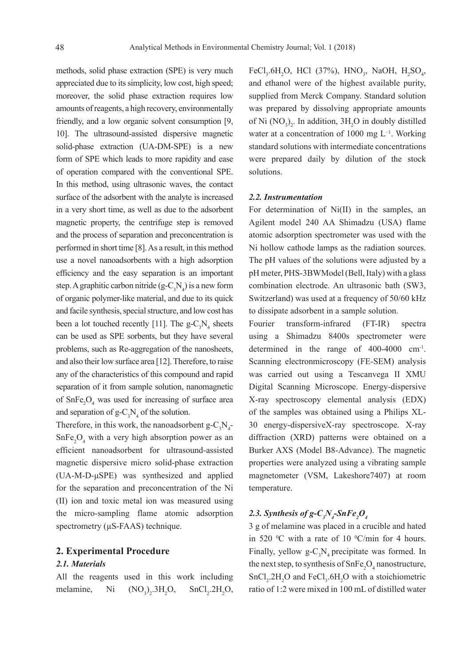methods, solid phase extraction (SPE) is very much appreciated due to its simplicity, low cost, high speed; moreover, the solid phase extraction requires low amounts of reagents, a high recovery, environmentally friendly, and a low organic solvent consumption [9, 10]. The ultrasound-assisted dispersive magnetic solid-phase extraction (UA-DM-SPE) is a new form of SPE which leads to more rapidity and ease of operation compared with the conventional SPE. In this method, using ultrasonic waves, the contact surface of the adsorbent with the analyte is increased in a very short time, as well as due to the adsorbent magnetic property, the centrifuge step is removed and the process of separation and preconcentration is performed in short time [8]. As a result, in this method use a novel nanoadsorbents with a high adsorption efficiency and the easy separation is an important step. A graphitic carbon nitride  $(g-C_3N_4)$  is a new form of organic polymer-like material, and due to its quick and facile synthesis, special structure, and low cost has been a lot touched recently [11]. The  $g - C_3 N_4$  sheets can be used as SPE sorbents, but they have several problems, such as Re-aggregation of the nanosheets, and also their low surface area [12]. Therefore, to raise any of the characteristics of this compound and rapid separation of it from sample solution, nanomagnetic of  $\text{SnFe}_{2}\text{O}_{4}$  was used for increasing of surface area and separation of  $g - C_3 N_4$  of the solution.

Therefore, in this work, the nanoadsorbent  $g - C_3 N_4$ - $SnFe<sub>2</sub>O<sub>4</sub>$  with a very high absorption power as an efficient nanoadsorbent for ultrasound-assisted magnetic dispersive micro solid-phase extraction (UA-M-D-μSPE) was synthesized and applied for the separation and preconcentration of the Ni (II) ion and toxic metal ion was measured using the micro-sampling flame atomic adsorption spectrometry ( $\mu$ S-FAAS) technique.

### **2. Experimental Procedure**

### *2.1. Materials*

All the reagents used in this work including melamine, Ni  $\rm{)}_{2}$ .3H<sub>2</sub>  $O$ ,  $SnCl<sub>2</sub>$ .2H<sub>2</sub>O,

FeCl<sub>3</sub>.6H<sub>2</sub>O, HCl (37%), HNO<sub>3</sub>, NaOH, H<sub>2</sub>SO<sub>4</sub>, and ethanol were of the highest available purity, supplied from Merck Company. Standard solution was prepared by dissolving appropriate amounts of Ni  $(NO<sub>3</sub>)<sub>2</sub>$ . In addition,  $3H<sub>2</sub>O$  in doubly distilled water at a concentration of 1000 mg L−1. Working standard solutions with intermediate concentrations were prepared daily by dilution of the stock solutions.

#### *2.2. Instrumentation*

For determination of Ni(II) in the samples, an Agilent model 240 AA Shimadzu (USA) flame atomic adsorption spectrometer was used with the Ni hollow cathode lamps as the radiation sources. The pH values of the solutions were adjusted by a pH meter, PHS-3BWModel (Bell, Italy) with a glass combination electrode. An ultrasonic bath (SW3, Switzerland) was used at a frequency of 50/60 kHz to dissipate adsorbent in a sample solution.

Fourier transform-infrared (FT-IR) spectra using a Shimadzu 8400s spectrometer were determined in the range of 400-4000 cm-1. Scanning electronmicroscopy (FE-SEM) analysis was carried out using a Tescanvega II XMU Digital Scanning Microscope. Energy-dispersive X-ray spectroscopy elemental analysis (EDX) of the samples was obtained using a Philips XL-30 energy-dispersiveX-ray spectroscope. X-ray diffraction (XRD) patterns were obtained on a Burker AXS (Model B8-Advance). The magnetic properties were analyzed using a vibrating sample magnetometer (VSM, Lakeshore7407) at room temperature.

# 2.3. Synthesis of g- $C_{3}N_{4}$ -SnFe<sub>2</sub>O<sub>4</sub>

3 g of melamine was placed in a crucible and hated in 520  $\rm{^0C}$  with a rate of 10  $\rm{^0C/min}$  for 4 hours. Finally, yellow  $g - C_3 N_4$  precipitate was formed. In the next step, to synthesis of  $\text{SnFe}_2\text{O}_4$  nanostructure,  $SnCl<sub>2</sub>$ .2H<sub>2</sub>O and FeCl<sub>3</sub>.6H<sub>2</sub>O with a stoichiometric ratio of 1:2 were mixed in 100 mL of distilled water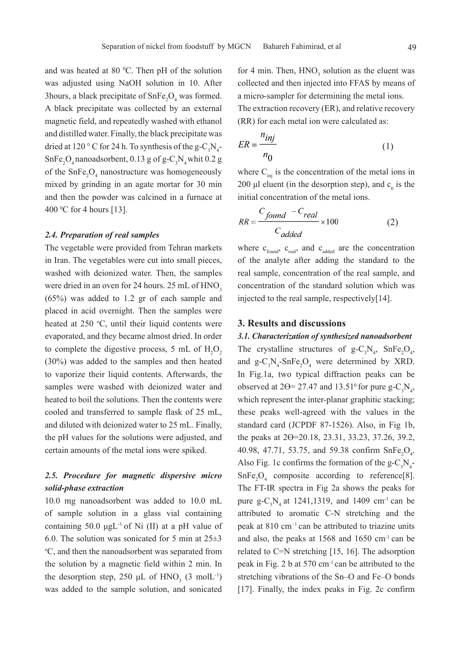3hours, a black precipitate of  $\text{SnFe}_2\text{O}_4$  was formed. A black precipitate was collected by an external magnetic field, and repeatedly washed with ethanol and distilled water. Finally, the black precipitate was dried at 120 ° C for 24 h. To synthesis of the g- $C_3N_4$ - $SnFe<sub>2</sub>O<sub>4</sub>$  nanoadsorbent, 0.13 g of g-C<sub>3</sub>N<sub>4</sub> whit 0.2 g of the  $\text{SnFe}_{2}\text{O}_{4}$  nanostructure was homogeneously mixed by grinding in an agate mortar for 30 min and then the powder was calcined in a furnace at  $400\text{ °C}$  for 4 hours [13].

#### *2.4. Preparation of real samples*

The vegetable were provided from Tehran markets in Iran. The vegetables were cut into small pieces, washed with deionized water. Then, the samples were dried in an oven for 24 hours. 25 mL of HNO<sub>3</sub> (65%) was added to 1.2 gr of each sample and placed in acid overnight. Then the samples were heated at  $250 \text{ °C}$ , until their liquid contents were evaporated, and they became almost dried. In order to complete the digestive process, 5 mL of  $H_2O_2$ (30%) was added to the samples and then heated to vaporize their liquid contents. Afterwards, the samples were washed with deionized water and heated to boil the solutions. Then the contents were cooled and transferred to sample flask of 25 mL, and diluted with deionized water to 25 mL. Finally, the pH values for the solutions were adjusted, and certain amounts of the metal ions were spiked.

# *2.5. Procedure for magnetic dispersive micro solid-phase extraction*

10.0 mg nanoadsorbent was added to 10.0 mL of sample solution in a glass vial containing containing 50.0  $\mu$ gL<sup>-1</sup> of Ni (II) at a pH value of 6.0. The solution was sonicated for 5 min at  $25\pm3$ o C, and then the nanoadsorbent was separated from the solution by a magnetic field within 2 min. In the desorption step, 250  $\mu$ L of HNO<sub>3</sub> (3 molL<sup>-1</sup>) was added to the sample solution, and sonicated

for 4 min. Then,  $HNO<sub>3</sub>$  solution as the eluent was collected and then injected into FFAS by means of a micro-sampler for determining the metal ions. The extraction recovery (ER), and relative recovery (RR) for each metal ion were calculated as:

$$
ER = \frac{n_{inj}}{n_0} \tag{1}
$$

where  $C_{\text{ini}}$  is the concentration of the metal ions in 200  $\mu$ l eluent (in the desorption step), and  $c_0$  is the initial concentration of the metal ions.

$$
RR = \frac{C_{found} - C_{real}}{C_{added}} \times 100
$$
 (2)

where  $c_{\text{found}}$ ,  $c_{\text{real}}$ , and  $c_{\text{added}}$  are the concentration of the analyte after adding the standard to the real sample, concentration of the real sample, and concentration of the standard solution which was injected to the real sample, respectively[14].

### **3. Results and discussions**

*3.1. Characterization of synthesized nanoadsorbent*  The crystalline structures of  $g - C_3 N_4$ ,  $SnFe_2O_4$ , and  $g - C_3 N_4$ -SnFe<sub>2</sub>O<sub>4</sub> were determined by XRD. In Fig.1a, two typical diffraction peaks can be observed at  $2\Theta = 27.47$  and  $13.51^\circ$  for pure g-C<sub>3</sub>N<sub>4</sub>, which represent the inter-planar graphitic stacking; these peaks well-agreed with the values in the standard card (JCPDF 87-1526). Also, in Fig 1b, the peaks at 2ϴ=20.18, 23.31, 33.23, 37.26, 39.2, 40.98, 47.71, 53.75, and 59.38 confirm  $\text{SnFe}_{2}\text{O}_{4}$ . Also Fig. 1c confirms the formation of the  $g - C_3 N_4$ - $SnFe<sub>2</sub>O<sub>4</sub>$  composite according to reference[8]. The FT-IR spectra in Fig 2a shows the peaks for pure  $g - C_3 N_4$  at 1241,1319, and 1409 cm<sup>-1</sup> can be attributed to aromatic C-N stretching and the peak at 810 cm−1 can be attributed to triazine units and also, the peaks at 1568 and 1650 cm-1 can be related to C=N stretching [15, 16]. The adsorption peak in Fig. 2 b at 570 cm-1 can be attributed to the stretching vibrations of the Sn–O and Fe–O bonds [17]. Finally, the index peaks in Fig. 2c confirm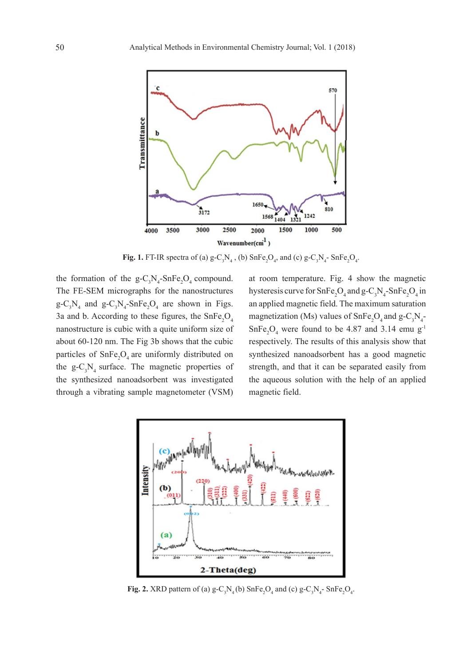

**Fig. 1.** FT-IR spectra of (a)  $g - C_3 N_4$ , (b)  $SnFe_2O_4$ , and (c)  $g - C_3 N_4$ -  $SnFe_2O_4$ .

the formation of the  $g - C_3 N_4$ -SnFe<sub>2</sub>O<sub>4</sub> compound. The FE-SEM micrographs for the nanostructures  $g - C_3 N_4$  and  $g - C_3 N_4$ -SnFe<sub>2</sub>O<sub>4</sub> are shown in Figs. 3a and b. According to these figures, the  $SnFe<sub>2</sub>O<sub>4</sub>$ nanostructure is cubic with a quite uniform size of about 60-120 nm. The Fig 3b shows that the cubic particles of  $SnFe<sub>2</sub>O<sub>4</sub>$  are uniformly distributed on the  $g - C_3 N_4$  surface. The magnetic properties of the synthesized nanoadsorbent was investigated through a vibrating sample magnetometer (VSM)

at room temperature. Fig. 4 show the magnetic hysteresis curve for  $SnFe<sub>2</sub>O<sub>4</sub>$  and  $g-C<sub>3</sub>N<sub>4</sub>-SnFe<sub>2</sub>O<sub>4</sub>$  in an applied magnetic field. The maximum saturation magnetization (Ms) values of  $\text{SnFe}_2\text{O}_4$  and  $\text{g-C}_3\text{N}_4$ - $SnFe<sub>2</sub>O<sub>4</sub>$  were found to be 4.87 and 3.14 emu g<sup>-1</sup> respectively. The results of this analysis show that synthesized nanoadsorbent has a good magnetic strength, and that it can be separated easily from the aqueous solution with the help of an applied magnetic field.



**Fig. 2.** XRD pattern of (a)  $g - C_3 N_4$  (b)  $SnFe_2O_4$  and (c)  $g - C_3 N_4$ -  $SnFe_2O_4$ .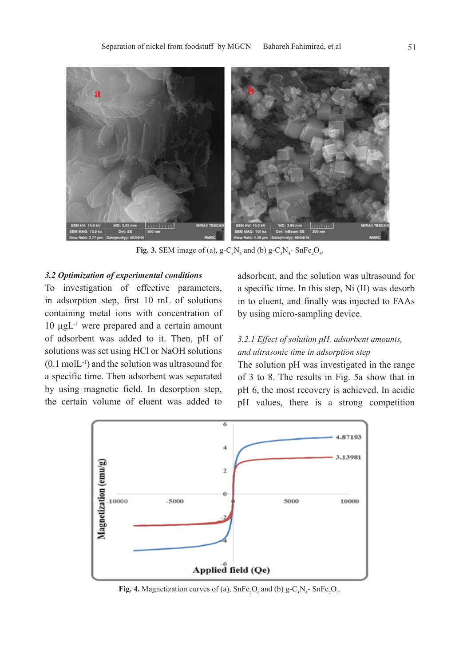

**Fig. 3.** SEM image of (a),  $g - C_3 N_4$  and (b)  $g - C_3 N_4$ - SnFe<sub>2</sub>O<sub>4</sub>.

# *3.2 Optimization of experimental conditions*

To investigation of effective parameters, in adsorption step, first 10 mL of solutions containing metal ions with concentration of 10 µgL-1 were prepared and a certain amount of adsorbent was added to it. Then, pH of solutions was set using HCl or NaOH solutions  $(0.1 \text{ mol}L^{-1})$  and the solution was ultrasound for a specific time. Then adsorbent was separated by using magnetic field. In desorption step, the certain volume of eluent was added to

adsorbent, and the solution was ultrasound for a specific time. In this step, Ni (II) was desorb in to eluent, and finally was injected to FAAs by using micro-sampling device.

# *3.2.1 Effect of solution pH, adsorbent amounts, and ultrasonic time in adsorption step*

The solution pH was investigated in the range of 3 to 8. The results in Fig. 5a show that in pH 6, the most recovery is achieved. In acidic pH values, there is a strong competition



**Fig. 4.** Magnetization curves of (a),  $\text{SnFe}_2\text{O}_4$  and (b)  $\text{g-C}_3\text{N}_4$ -  $\text{SnFe}_2\text{O}_4$ .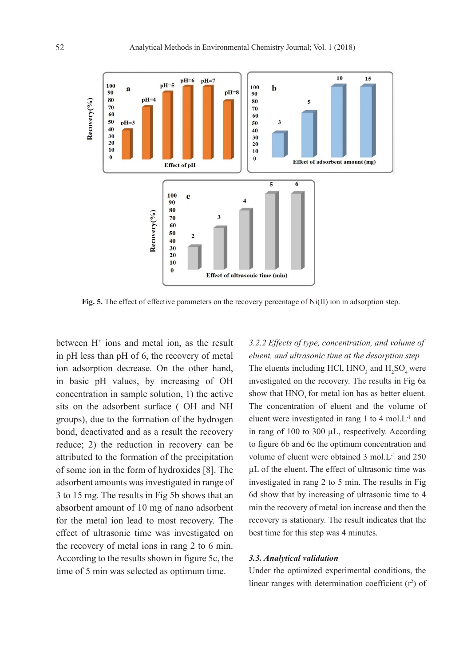

**Fig. 5.** The effect of effective parameters on the recovery percentage of Ni(II) ion in adsorption step.

between  $H^+$  ions and metal ion, as the result in pH less than pH of 6, the recovery of metal ion adsorption decrease. On the other hand, in basic pH values, by increasing of OH concentration in sample solution, 1) the active sits on the adsorbent surface ( OH and NH groups), due to the formation of the hydrogen bond, deactivated and as a result the recovery reduce; 2) the reduction in recovery can be attributed to the formation of the precipitation of some ion in the form of hydroxides [8]. The adsorbent amounts was investigated in range of 3 to 15 mg. The results in Fig 5b shows that an absorbent amount of 10 mg of nano adsorbent for the metal ion lead to most recovery. The effect of ultrasonic time was investigated on the recovery of metal ions in rang 2 to 6 min. According to the results shown in figure 5c, the time of 5 min was selected as optimum time.

*3.2.2 Effects of type, concentration, and volume of eluent, and ultrasonic time at the desorption step* The eluents including HCl,  $HNO_3$  and  $H_2SO_4$  were investigated on the recovery. The results in Fig 6a show that HNO<sub>2</sub> for metal ion has as better eluent. The concentration of eluent and the volume of eluent were investigated in rang 1 to 4 mol.L-1 and in rang of 100 to 300 µL, respectively. According to figure 6b and 6c the optimum concentration and volume of eluent were obtained 3 mol.L-1 and 250 µL of the eluent. The effect of ultrasonic time was investigated in rang 2 to 5 min. The results in Fig 6d show that by increasing of ultrasonic time to 4 min the recovery of metal ion increase and then the recovery is stationary. The result indicates that the best time for this step was 4 minutes.

### *3.3. Analytical validation*

Under the optimized experimental conditions, the linear ranges with determination coefficient  $(r^2)$  of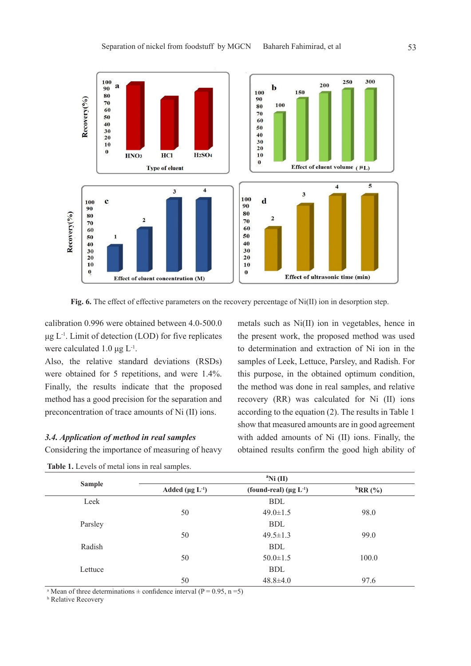

**Fig. 6.** The effect of effective parameters on the recovery percentage of Ni(II) ion in desorption step.

calibration 0.996 were obtained between 4.0-500.0  $\mu$ g L<sup>-1</sup>. Limit of detection (LOD) for five replicates were calculated 1.0  $\mu$ g L<sup>-1</sup>.

Also, the relative standard deviations (RSDs) were obtained for 5 repetitions, and were 1.4%. Finally, the results indicate that the proposed method has a good precision for the separation and preconcentration of trace amounts of Ni (II) ions.

# *3.4. Application of method in real samples*

Considering the importance of measuring of heavy

metals such as Ni(II) ion in vegetables, hence in the present work, the proposed method was used to determination and extraction of Ni ion in the samples of Leek, Lettuce, Parsley, and Radish. For this purpose, in the obtained optimum condition, the method was done in real samples, and relative recovery (RR) was calculated for Ni (II) ions according to the equation (2). The results in Table 1 show that measured amounts are in good agreement with added amounts of Ni (II) ions. Finally, the obtained results confirm the good high ability of

| <b>Sample</b> | $\mathrm{N}i$ (II)                |                                          |                                  |  |  |
|---------------|-----------------------------------|------------------------------------------|----------------------------------|--|--|
|               | Added ( $\mu$ g L <sup>-1</sup> ) | (found-real) ( $\mu$ g L <sup>-1</sup> ) | ${}^{\mathrm{b}}\mathrm{RR}$ (%) |  |  |
| Leek          |                                   | <b>BDL</b>                               |                                  |  |  |
|               | 50                                | $49.0 \pm 1.5$                           | 98.0                             |  |  |
| Parsley       |                                   | <b>BDL</b>                               |                                  |  |  |
|               | 50                                | $49.5 \pm 1.3$                           | 99.0                             |  |  |
| Radish        |                                   | <b>BDL</b>                               |                                  |  |  |
|               | 50                                | $50.0 \pm 1.5$                           | 100.0                            |  |  |
| Lettuce       |                                   | <b>BDL</b>                               |                                  |  |  |
|               | 50                                | $48.8 \pm 4.0$                           | 97.6                             |  |  |

Table 1. Levels of metal ions in real samples.

<sup>a</sup> Mean of three determinations  $\pm$  confidence interval (P = 0.95, n = 5)

**b** Relative Recovery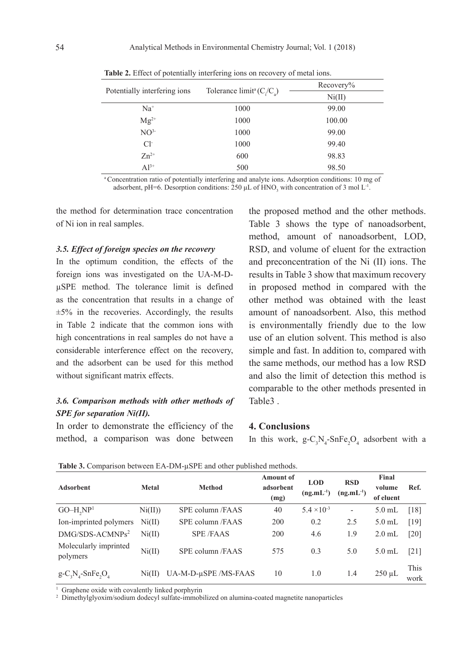|                              |                                      | Recovery% |
|------------------------------|--------------------------------------|-----------|
| Potentially interfering ions | Tolerance limit <sup>a</sup> $(C/C)$ | Ni(II)    |
| $Na+$                        | 1000                                 | 99.00     |
| $Mg^{2+}$                    | 1000                                 | 100.00    |
| NO <sup>3</sup>              | 1000                                 | 99.00     |
| $Cl-$                        | 1000                                 | 99.40     |
| $Zn^{2+}$                    | 600                                  | 98.83     |
| $Al^{3+}$                    | 500                                  | 98.50     |

**Table 2.** Effect of potentially interfering ions on recovery of metal ions.

a Concentration ratio of potentially interfering and analyte ions. Adsorption conditions: 10 mg of adsorbent, pH=6. Desorption conditions: 250  $\mu$ L of HNO<sub>3</sub> with concentration of 3 mol L<sup>-1</sup>.

the method for determination trace concentration of Ni ion in real samples.

# *3.5. Effect of foreign species on the recovery*

In the optimum condition, the effects of the foreign ions was investigated on the UA-M-DµSPE method. The tolerance limit is defined as the concentration that results in a change of  $\pm 5\%$  in the recoveries. Accordingly, the results in Table 2 indicate that the common ions with high concentrations in real samples do not have a considerable interference effect on the recovery, and the adsorbent can be used for this method without significant matrix effects.

# *3.6. Comparison methods with other methods of SPE for separation Ni(II).*

In order to demonstrate the efficiency of the method, a comparison was done between

the proposed method and the other methods. Table 3 shows the type of nanoadsorbent, method, amount of nanoadsorbent, LOD, RSD, and volume of eluent for the extraction and preconcentration of the Ni (II) ions. The results in Table 3 show that maximum recovery in proposed method in compared with the other method was obtained with the least amount of nanoadsorbent. Also, this method is environmentally friendly due to the low use of an elution solvent. This method is also simple and fast. In addition to, compared with the same methods, our method has a low RSD and also the limit of detection this method is comparable to the other methods presented in Table3 .

### **4. Conclusions**

In this work,  $g - C_3 N_4$ -SnFe<sub>2</sub>O<sub>4</sub> adsorbent with a

| л.                                              |                            | л.                   |                                       |                              |                              |                              |                    |
|-------------------------------------------------|----------------------------|----------------------|---------------------------------------|------------------------------|------------------------------|------------------------------|--------------------|
| <b>Adsorbent</b>                                | <b>Metal</b>               | <b>Method</b>        | <b>Amount of</b><br>adsorbent<br>(mg) | <b>LOD</b><br>$(ng.mL^{-1})$ | <b>RSD</b><br>$(ng.mL^{-1})$ | Final<br>volume<br>of eluent | Ref.               |
| $GO-H,NP1$                                      | $\mathrm{Ni}(\mathrm{II})$ | SPE column /FAAS     | 40                                    | $5.4 \times 10^{-3}$         | $\overline{\phantom{a}}$     | $5.0$ mL                     | $\lceil 18 \rceil$ |
| Ion-imprinted polymers                          | Ni(II)                     | SPE column /FAAS     | 200                                   | 0.2                          | 2.5                          | $5.0$ mL                     | [19]               |
| $DMG/SDS-ACMNPs2$                               | Ni(II)                     | <b>SPE/FAAS</b>      | 200                                   | 4.6                          | 1.9                          | $2.0$ mL                     | [20]               |
| Molecularly imprinted<br>polymers               | Ni(II)                     | SPE column /FAAS     | 575                                   | 0.3                          | 5.0                          | $5.0$ mL                     | $[21]$             |
| $g - C_3 N_4$ -SnFe <sub>2</sub> O <sub>4</sub> | Ni(II)                     | UA-M-D-µSPE /MS-FAAS | 10                                    | 1.0                          | 1.4                          | $250 \mu L$                  | This<br>work       |

**Table 3.** Comparison between EA-DM-uSPE and other published methods.

<sup>1</sup> Graphene oxide with covalently linked porphyrin

2 Dimethylglyoxim/sodium dodecyl sulfate-immobilized on alumina-coated magnetite nanoparticles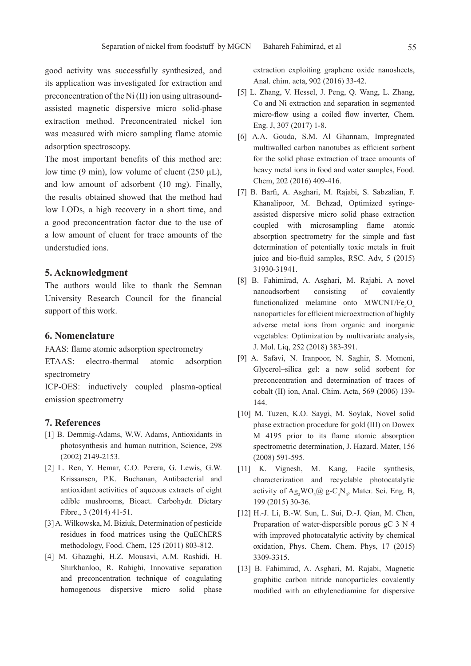good activity was successfully synthesized, and its application was investigated for extraction and preconcentration of the Ni (II) ion using ultrasoundassisted magnetic dispersive micro solid-phase extraction method. Preconcentrated nickel ion was measured with micro sampling flame atomic adsorption spectroscopy.

The most important benefits of this method are: low time  $(9 \text{ min})$ , low volume of eluent  $(250 \text{ uL})$ , and low amount of adsorbent (10 mg). Finally, the results obtained showed that the method had low LODs, a high recovery in a short time, and a good preconcentration factor due to the use of a low amount of eluent for trace amounts of the understudied ions.

### **5. Acknowledgment**

The authors would like to thank the Semnan University Research Council for the financial support of this work.

### **6. Nomenclature**

FAAS: flame atomic adsorption spectrometry

ETAAS: electro-thermal atomic adsorption spectrometry

ICP-OES: inductively coupled plasma-optical emission spectrometry

### **7. References**

- [1] B. Demmig-Adams, W.W. Adams, Antioxidants in photosynthesis and human nutrition, Science, 298 (2002) 2149-2153.
- [2] L. Ren, Y. Hemar, C.O. Perera, G. Lewis, G.W. Krissansen, P.K. Buchanan, Antibacterial and antioxidant activities of aqueous extracts of eight edible mushrooms, Bioact. Carbohydr. Dietary Fibre., 3 (2014) 41-51.
- [3] A. Wilkowska, M. Biziuk, Determination of pesticide residues in food matrices using the QuEChERS methodology, Food. Chem, 125 (2011) 803-812.
- [4] M. Ghazaghi, H.Z. Mousavi, A.M. Rashidi, H. Shirkhanloo, R. Rahighi, Innovative separation and preconcentration technique of coagulating homogenous dispersive micro solid phase

extraction exploiting graphene oxide nanosheets, Anal. chim. acta, 902 (2016) 33-42.

- [5] L. Zhang, V. Hessel, J. Peng, Q. Wang, L. Zhang, Co and Ni extraction and separation in segmented micro-flow using a coiled flow inverter, Chem. Eng. J, 307 (2017) 1-8.
- [6] A.A. Gouda, S.M. Al Ghannam, Impregnated multiwalled carbon nanotubes as efficient sorbent for the solid phase extraction of trace amounts of heavy metal ions in food and water samples, Food. Chem, 202 (2016) 409-416.
- [7] B. Barfi, A. Asghari, M. Rajabi, S. Sabzalian, F. Khanalipoor, M. Behzad, Optimized syringeassisted dispersive micro solid phase extraction coupled with microsampling flame atomic absorption spectrometry for the simple and fast determination of potentially toxic metals in fruit juice and bio-fluid samples, RSC. Adv, 5 (2015) 31930-31941.
- [8] B. Fahimirad, A. Asghari, M. Rajabi, A novel nanoadsorbent consisting of covalently functionalized melamine onto  $MWCNT/Fe<sub>3</sub>O<sub>4</sub>$ nanoparticles for efficient microextraction of highly adverse metal ions from organic and inorganic vegetables: Optimization by multivariate analysis, J. Mol. Liq, 252 (2018) 383-391.
- [9] A. Safavi, N. Iranpoor, N. Saghir, S. Momeni, Glycerol–silica gel: a new solid sorbent for preconcentration and determination of traces of cobalt (II) ion, Anal. Chim. Acta, 569 (2006) 139- 144.
- [10] M. Tuzen, K.O. Saygi, M. Soylak, Novel solid phase extraction procedure for gold (III) on Dowex M 4195 prior to its flame atomic absorption spectrometric determination, J. Hazard. Mater, 156 (2008) 591-595.
- [11] K. Vignesh, M. Kang, Facile synthesis, characterization and recyclable photocatalytic activity of  $\text{Ag}_2\text{WO}_4@$  g-C<sub>3</sub>N<sub>4</sub>, Mater. Sci. Eng. B, 199 (2015) 30-36.
- [12] H.-J. Li, B.-W. Sun, L. Sui, D.-J. Qian, M. Chen, Preparation of water-dispersible porous gC 3 N 4 with improved photocatalytic activity by chemical oxidation, Phys. Chem. Chem. Phys, 17 (2015) 3309-3315.
- [13] B. Fahimirad, A. Asghari, M. Rajabi, Magnetic graphitic carbon nitride nanoparticles covalently modified with an ethylenediamine for dispersive